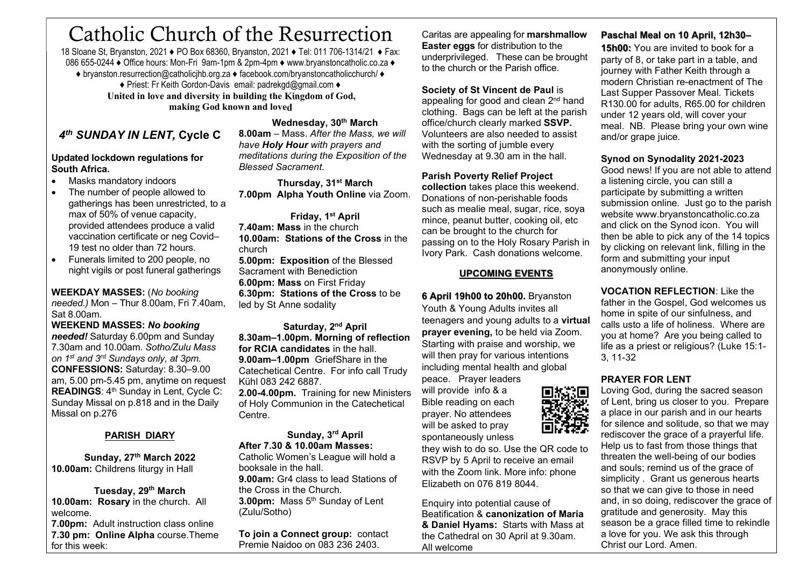# Catholic Church of the Resurrection

18 Sloane St, Bryanston, 2021 ♦ PO Box 68360, Bryanston, 2021 ♦ Tel: 011 706-1314/21 ♦ Fax: 086 655-0244 ♦ Office hours: Mon-Fri 9am-1pm & 2pm-4pm ♦ www.bryanstoncatholic.co.za ♦ ♦ bryanston.resurrection@catholicjhb.org.za ♦ facebook.com/bryanstoncatholicchurch/ ♦ ♦ Priest: Fr Keith Gordon-Davis email: padrekgd@gmail.com ♦ United in love and diversity in building the Kingdom of God, making God known and loved

# 4<sup>th</sup> SUNDAY IN LENT, Cycle C

#### Updated lockdown regulations for South Africa.

- Masks mandatory indoors
- The number of people allowed to gatherings has been unrestricted, to a max of 50% of venue capacity, provided attendees produce a valid vaccination certificate or neg Covid– 19 test no older than 72 hours.
- Funerals limited to 200 people, no night vigils or post funeral gatherings

WEEKDAY MASSES: (No booking needed.) Mon – Thur 8.00am, Fri 7.40am, Sat 8.00am.

WEEKEND MASSES: No booking needed! Saturday 6.00pm and Sunday 7.30am and 10.00am. Sotho/Zulu Mass on 1<sup>st</sup> and 3<sup>rd</sup> Sundays only, at 3pm. CONFESSIONS: Saturday: 8.30–9.00 am, 5.00 pm-5.45 pm, anytime on request READINGS: 4<sup>th</sup> Sunday in Lent, Cycle C: Sunday Missal on p.818 and in the Daily Missal on p.276

### PARISH DIARY

Sunday, 27th March 2022 10.00am: Childrens liturgy in Hall

Tuesday, 29<sup>th</sup> March 10.00am: Rosary in the church. All welcome.

**7.00pm:** Adult instruction class online 7.30 pm: Online Alpha course.Theme for this week:

Wednesday, 30th March

8.00am – Mass. After the Mass, we will have **Holy Hour** with prayers and meditations during the Exposition of the Blessed Sacrament.

Thursday, 31<sup>st</sup> March 7.00pm Alpha Youth Online via Zoom.

Friday, 1<sup>st</sup> April 7.40am: Mass in the church 10.00am: Stations of the Cross in the church

5.00pm: Exposition of the Blessed Sacrament with Benediction 6.00pm: Mass on First Friday 6.30pm: Stations of the Cross to be led by St Anne sodality

Saturday, 2<sup>nd</sup> April 8.30am–1.00pm. Morning of reflection for RCIA candidates in the hall. 9.00am–1.00pm GriefShare in the Catechetical Centre. For info call Trudy Kühl 083 242 6887.

2.00-4.00pm. Training for new Ministers of Holy Communion in the Catechetical Centre.

#### Sunday, 3rd April After 7.30 & 10.00am Masses:

Catholic Women's League will hold a booksale in the hall. 9.00am: Gr4 class to lead Stations of the Cross in the Church. 3.00pm: Mass 5<sup>th</sup> Sunday of Lent (Zulu/Sotho)

To join a Connect group: contact Premie Naidoo on 083 236 2403.

Caritas are appealing for marshmallow Easter eggs for distribution to the underprivileged. These can be brought to the church or the Parish office.

Society of St Vincent de Paul is

appealing for good and clean 2<sup>nd</sup> hand clothing. Bags can be left at the parish office/church clearly marked SSVP. Volunteers are also needed to assist with the sorting of jumble every Wednesday at 9.30 am in the hall.

Parish Poverty Relief Project

collection takes place this weekend. Donations of non-perishable foods such as mealie meal, sugar, rice, soval mince, peanut butter, cooking oil, etc can be brought to the church for passing on to the Holy Rosary Parish in Ivory Park. Cash donations welcome.

# UPCOMING EVENTS

6 April 19h00 to 20h00. Bryanston Youth & Young Adults invites all teenagers and young adults to a virtual prayer evening, to be held via Zoom. Starting with praise and worship, we will then pray for various intentions including mental health and global

peace. Prayer leaders will provide info & a Bible reading on each prayer. No attendees will be asked to pray spontaneously unless

they wish to do so. Use the QR code to RSVP by 5 April to receive an email with the Zoom link. More info: phone Elizabeth on 076 819 8044.

Enquiry into potential cause of Beatification & canonization of Maria & Daniel Hyams: Starts with Mass at the Cathedral on 30 April at 9.30am. All welcome

# Paschal Meal on 10 April, 12h30–

15h00: You are invited to book for a party of 8, or take part in a table, and journey with Father Keith through a modern Christian re-enactment of The Last Supper Passover Meal. Tickets R130.00 for adults, R65.00 for children under 12 years old, will cover your meal. NB. Please bring your own wine and/or grape juice.

#### Synod on Synodality 2021-2023

Good news! If you are not able to attend a listening circle, you can still a participate by submitting a written submission online. Just go to the parish website www.bryanstoncatholic.co.za and click on the Synod icon. You will then be able to pick any of the 14 topics by clicking on relevant link, filling in the form and submitting your input anonymously online.

VOCATION REFLECTION: Like the father in the Gospel, God welcomes us home in spite of our sinfulness, and calls usto a life of holiness. Where are you at home? Are you being called to life as a priest or religious? (Luke 15:1- 3, 11-32

# PRAYER FOR LENT

Loving God, during the sacred season of Lent, bring us closer to you. Prepare a place in our parish and in our hearts for silence and solitude, so that we may rediscover the grace of a prayerful life. Help us to fast from those things that threaten the well-being of our bodies and souls; remind us of the grace of simplicity . Grant us generous hearts so that we can give to those in need and, in so doing, rediscover the grace of gratitude and generosity. May this season be a grace filled time to rekindle a love for you. We ask this through Christ our Lord. Amen.